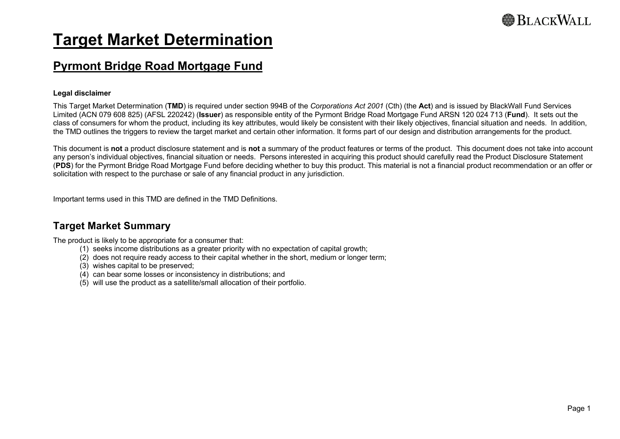# **Target Market Determination**

## **Pyrmont Bridge Road Mortgage Fund**

#### **Legal disclaimer**

This Target Market Determination (**TMD**) is required under section 994B of the *Corporations Act 2001* (Cth) (the **Act**) and is issued by BlackWall Fund Services Limited (ACN 079 608 825) (AFSL 220242) (**Issuer**) as responsible entity of the Pyrmont Bridge Road Mortgage Fund ARSN 120 024 713 (**Fund**). It sets out the class of consumers for whom the product, including its key attributes, would likely be consistent with their likely objectives, financial situation and needs. In addition, the TMD outlines the triggers to review the target market and certain other information. It forms part of our design and distribution arrangements for the product.

This document is **not** a product disclosure statement and is **not** a summary of the product features or terms of the product. This document does not take into account any person's individual objectives, financial situation or needs. Persons interested in acquiring this product should carefully read the Product Disclosure Statement (**PDS**) for the Pyrmont Bridge Road Mortgage Fund before deciding whether to buy this product. This material is not a financial product recommendation or an offer or solicitation with respect to the purchase or sale of any financial product in any jurisdiction.

Important terms used in this TMD are defined in the TMD Definitions.

### **Target Market Summary**

The product is likely to be appropriate for a consumer that:

- (1) seeks income distributions as a greater priority with no expectation of capital growth;
- (2) does not require ready access to their capital whether in the short, medium or longer term;
- (3) wishes capital to be preserved;
- (4) can bear some losses or inconsistency in distributions; and
- (5) will use the product as a satellite/small allocation of their portfolio.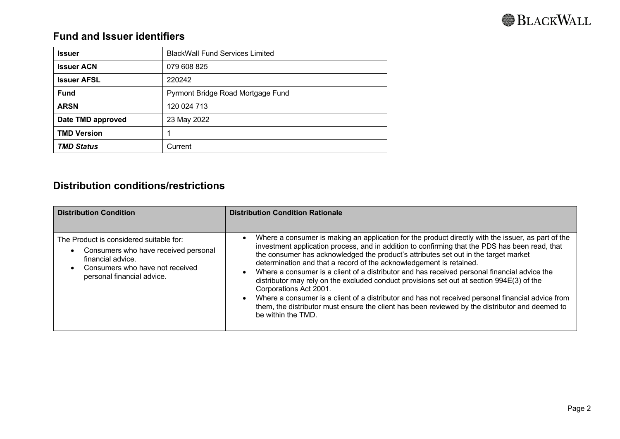## **Fund and Issuer identifiers**

| <b>Issuer</b>      | <b>BlackWall Fund Services Limited</b> |
|--------------------|----------------------------------------|
| <b>Issuer ACN</b>  | 079 608 825                            |
| <b>Issuer AFSL</b> | 220242                                 |
| <b>Fund</b>        | Pyrmont Bridge Road Mortgage Fund      |
| <b>ARSN</b>        | 120 024 713                            |
| Date TMD approved  | 23 May 2022                            |
| <b>TMD Version</b> | 4                                      |
| <b>TMD Status</b>  | Current                                |

## **Distribution conditions/restrictions**

| <b>Distribution Condition</b>                                                                                                                                         | <b>Distribution Condition Rationale</b>                                                                                                                                                                                                                                                                                                                                                                                                                                                                                                                                                                                                                                                                                                                                                                                 |
|-----------------------------------------------------------------------------------------------------------------------------------------------------------------------|-------------------------------------------------------------------------------------------------------------------------------------------------------------------------------------------------------------------------------------------------------------------------------------------------------------------------------------------------------------------------------------------------------------------------------------------------------------------------------------------------------------------------------------------------------------------------------------------------------------------------------------------------------------------------------------------------------------------------------------------------------------------------------------------------------------------------|
| The Product is considered suitable for:<br>Consumers who have received personal<br>financial advice.<br>Consumers who have not received<br>personal financial advice. | Where a consumer is making an application for the product directly with the issuer, as part of the<br>investment application process, and in addition to confirming that the PDS has been read, that<br>the consumer has acknowledged the product's attributes set out in the target market<br>determination and that a record of the acknowledgement is retained.<br>Where a consumer is a client of a distributor and has received personal financial advice the<br>distributor may rely on the excluded conduct provisions set out at section 994E(3) of the<br>Corporations Act 2001.<br>Where a consumer is a client of a distributor and has not received personal financial advice from<br>them, the distributor must ensure the client has been reviewed by the distributor and deemed to<br>be within the TMD. |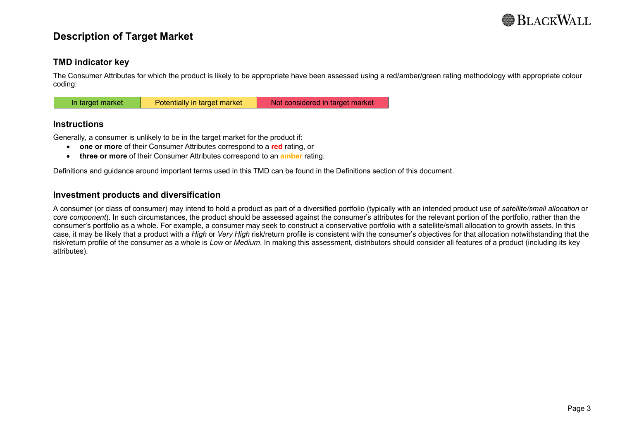

### **Description of Target Market**

#### **TMD indicator key**

The Consumer Attributes for which the product is likely to be appropriate have been assessed using a red/amber/green rating methodology with appropriate colour coding:

#### **Instructions**

Generally, a consumer is unlikely to be in the target market for the product if:

- **one or more** of their Consumer Attributes correspond to a **red** rating, or
- **three or more** of their Consumer Attributes correspond to an **amber** rating.

Definitions and guidance around important terms used in this TMD can be found in the Definitions section of this document.

#### **Investment products and diversification**

A consumer (or class of consumer) may intend to hold a product as part of a diversified portfolio (typically with an intended product use of *satellite/small allocation* or *core component*). In such circumstances, the product should be assessed against the consumer's attributes for the relevant portion of the portfolio, rather than the consumer's portfolio as a whole. For example, a consumer may seek to construct a conservative portfolio with a satellite/small allocation to growth assets. In this case, it may be likely that a product with a *High* or *Very High* risk/return profile is consistent with the consumer's objectives for that allocation notwithstanding that the risk/return profile of the consumer as a whole is *Low* or *Medium*. In making this assessment, distributors should consider all features of a product (including its key attributes).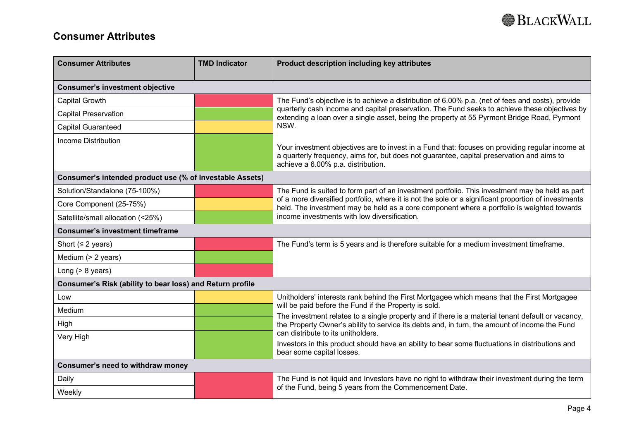## **Consumer Attributes**

| <b>Consumer Attributes</b>                                | <b>TMD Indicator</b> | Product description including key attributes                                                                                                                                                                                       |  |
|-----------------------------------------------------------|----------------------|------------------------------------------------------------------------------------------------------------------------------------------------------------------------------------------------------------------------------------|--|
| <b>Consumer's investment objective</b>                    |                      |                                                                                                                                                                                                                                    |  |
| Capital Growth                                            |                      | The Fund's objective is to achieve a distribution of 6.00% p.a. (net of fees and costs), provide                                                                                                                                   |  |
| <b>Capital Preservation</b>                               |                      | quarterly cash income and capital preservation. The Fund seeks to achieve these objectives by<br>extending a loan over a single asset, being the property at 55 Pyrmont Bridge Road, Pyrmont                                       |  |
| <b>Capital Guaranteed</b>                                 |                      | NSW.                                                                                                                                                                                                                               |  |
| <b>Income Distribution</b>                                |                      | Your investment objectives are to invest in a Fund that: focuses on providing regular income at<br>a quarterly frequency, aims for, but does not guarantee, capital preservation and aims to<br>achieve a 6.00% p.a. distribution. |  |
| Consumer's intended product use (% of Investable Assets)  |                      |                                                                                                                                                                                                                                    |  |
| Solution/Standalone (75-100%)                             |                      | The Fund is suited to form part of an investment portfolio. This investment may be held as part                                                                                                                                    |  |
| Core Component (25-75%)                                   |                      | of a more diversified portfolio, where it is not the sole or a significant proportion of investments<br>held. The investment may be held as a core component where a portfolio is weighted towards                                 |  |
| Satellite/small allocation (<25%)                         |                      | income investments with low diversification.                                                                                                                                                                                       |  |
| <b>Consumer's investment timeframe</b>                    |                      |                                                                                                                                                                                                                                    |  |
| Short ( $\leq$ 2 years)                                   |                      | The Fund's term is 5 years and is therefore suitable for a medium investment timeframe.                                                                                                                                            |  |
| Medium (> 2 years)                                        |                      |                                                                                                                                                                                                                                    |  |
| Long $(> 8$ years)                                        |                      |                                                                                                                                                                                                                                    |  |
| Consumer's Risk (ability to bear loss) and Return profile |                      |                                                                                                                                                                                                                                    |  |
| Low                                                       |                      | Unitholders' interests rank behind the First Mortgagee which means that the First Mortgagee<br>will be paid before the Fund if the Property is sold.                                                                               |  |
| Medium                                                    |                      | The investment relates to a single property and if there is a material tenant default or vacancy,                                                                                                                                  |  |
| High                                                      |                      | the Property Owner's ability to service its debts and, in turn, the amount of income the Fund                                                                                                                                      |  |
| Very High                                                 |                      | can distribute to its unitholders.<br>Investors in this product should have an ability to bear some fluctuations in distributions and                                                                                              |  |
|                                                           |                      | bear some capital losses.                                                                                                                                                                                                          |  |
| Consumer's need to withdraw money                         |                      |                                                                                                                                                                                                                                    |  |
| Daily                                                     |                      | The Fund is not liquid and Investors have no right to withdraw their investment during the term                                                                                                                                    |  |
| Weekly                                                    |                      | of the Fund, being 5 years from the Commencement Date.                                                                                                                                                                             |  |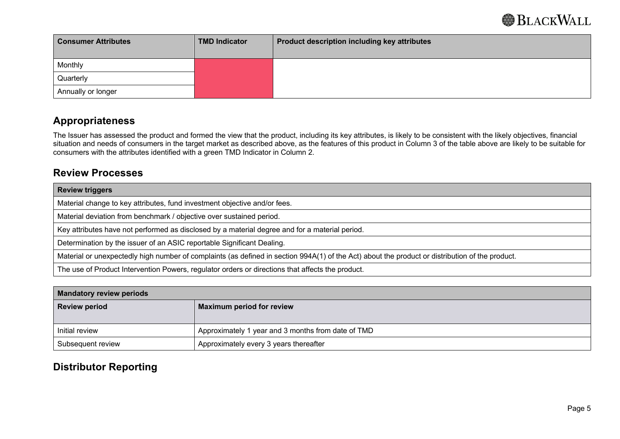| <b>Consumer Attributes</b> | <b>TMD Indicator</b> | <b>Product description including key attributes</b> |
|----------------------------|----------------------|-----------------------------------------------------|
| Monthly                    |                      |                                                     |
| Quarterly                  |                      |                                                     |
| Annually or longer         |                      |                                                     |

### **Appropriateness**

The Issuer has assessed the product and formed the view that the product, including its key attributes, is likely to be consistent with the likely objectives, financial situation and needs of consumers in the target market as described above, as the features of this product in Column 3 of the table above are likely to be suitable for consumers with the attributes identified with a green TMD Indicator in Column 2.

### **Review Processes**

| <b>Review triggers</b>                                                                                                                          |  |
|-------------------------------------------------------------------------------------------------------------------------------------------------|--|
| Material change to key attributes, fund investment objective and/or fees.                                                                       |  |
| Material deviation from benchmark / objective over sustained period.                                                                            |  |
| Key attributes have not performed as disclosed by a material degree and for a material period.                                                  |  |
| Determination by the issuer of an ASIC reportable Significant Dealing.                                                                          |  |
| Material or unexpectedly high number of complaints (as defined in section 994A(1) of the Act) about the product or distribution of the product. |  |
| The use of Product Intervention Powers, regulator orders or directions that affects the product.                                                |  |

| <b>Mandatory review periods</b> |                                                    |
|---------------------------------|----------------------------------------------------|
| <b>Review period</b>            | Maximum period for review                          |
|                                 |                                                    |
| Initial review                  | Approximately 1 year and 3 months from date of TMD |
| Subsequent review               | Approximately every 3 years thereafter             |

## **Distributor Reporting**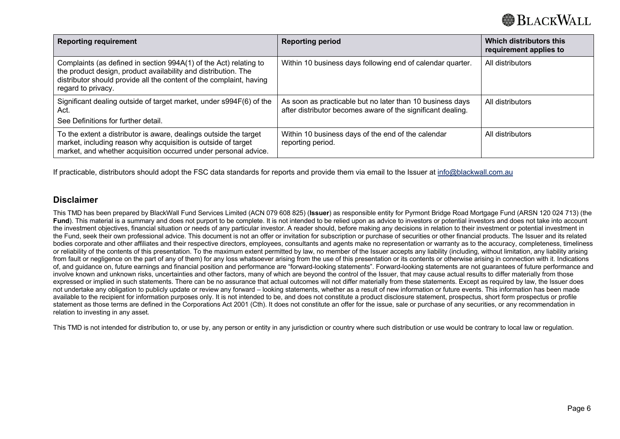| <b>Reporting requirement</b>                                                                                                                                                                                                     | <b>Reporting period</b>                                                                                                  | Which distributors this<br>requirement applies to |
|----------------------------------------------------------------------------------------------------------------------------------------------------------------------------------------------------------------------------------|--------------------------------------------------------------------------------------------------------------------------|---------------------------------------------------|
| Complaints (as defined in section 994A(1) of the Act) relating to<br>the product design, product availability and distribution. The<br>distributor should provide all the content of the complaint, having<br>regard to privacy. | Within 10 business days following end of calendar quarter.                                                               | All distributors                                  |
| Significant dealing outside of target market, under s994F(6) of the<br>Act.<br>See Definitions for further detail.                                                                                                               | As soon as practicable but no later than 10 business days<br>after distributor becomes aware of the significant dealing. | All distributors                                  |
| To the extent a distributor is aware, dealings outside the target<br>market, including reason why acquisition is outside of target<br>market, and whether acquisition occurred under personal advice.                            | Within 10 business days of the end of the calendar<br>reporting period.                                                  | All distributors                                  |

If practicable, distributors should adopt the FSC data standards for reports and provide them via email to the Issuer at info@blackwall.com.au

#### **Disclaimer**

This TMD has been prepared by BlackWall Fund Services Limited (ACN 079 608 825) (**Issuer**) as responsible entity for Pyrmont Bridge Road Mortgage Fund (ARSN 120 024 713) (the **Fund**). This material is a summary and does not purport to be complete. It is not intended to be relied upon as advice to investors or potential investors and does not take into account the investment objectives, financial situation or needs of any particular investor. A reader should, before making any decisions in relation to their investment or potential investment in the Fund, seek their own professional advice. This document is not an offer or invitation for subscription or purchase of securities or other financial products. The Issuer and its related bodies corporate and other affiliates and their respective directors, employees, consultants and agents make no representation or warranty as to the accuracy, completeness, timeliness or reliability of the contents of this presentation. To the maximum extent permitted by law, no member of the Issuer accepts any liability (including, without limitation, any liability arising from fault or negligence on the part of any of them) for any loss whatsoever arising from the use of this presentation or its contents or otherwise arising in connection with it. Indications of, and guidance on, future earnings and financial position and performance are "forward-looking statements". Forward-looking statements are not guarantees of future performance and involve known and unknown risks, uncertainties and other factors, many of which are beyond the control of the Issuer, that may cause actual results to differ materially from those expressed or implied in such statements. There can be no assurance that actual outcomes will not differ materially from these statements. Except as required by law, the Issuer does not undertake any obligation to publicly update or review any forward – looking statements, whether as a result of new information or future events. This information has been made available to the recipient for information purposes only. It is not intended to be, and does not constitute a product disclosure statement, prospectus, short form prospectus or profile statement as those terms are defined in the Corporations Act 2001 (Cth). It does not constitute an offer for the issue, sale or purchase of any securities, or any recommendation in relation to investing in any asset.

This TMD is not intended for distribution to, or use by, any person or entity in any jurisdiction or country where such distribution or use would be contrary to local law or regulation.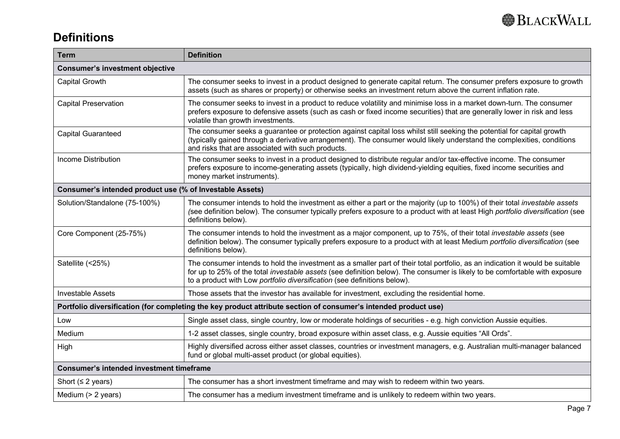

## **Definitions**

| <b>Term</b>                                                                                                     | <b>Definition</b>                                                                                                                                                                                                                                                                                                                        |  |
|-----------------------------------------------------------------------------------------------------------------|------------------------------------------------------------------------------------------------------------------------------------------------------------------------------------------------------------------------------------------------------------------------------------------------------------------------------------------|--|
| <b>Consumer's investment objective</b>                                                                          |                                                                                                                                                                                                                                                                                                                                          |  |
| Capital Growth                                                                                                  | The consumer seeks to invest in a product designed to generate capital return. The consumer prefers exposure to growth<br>assets (such as shares or property) or otherwise seeks an investment return above the current inflation rate.                                                                                                  |  |
| <b>Capital Preservation</b>                                                                                     | The consumer seeks to invest in a product to reduce volatility and minimise loss in a market down-turn. The consumer<br>prefers exposure to defensive assets (such as cash or fixed income securities) that are generally lower in risk and less<br>volatile than growth investments.                                                    |  |
| <b>Capital Guaranteed</b>                                                                                       | The consumer seeks a guarantee or protection against capital loss whilst still seeking the potential for capital growth<br>(typically gained through a derivative arrangement). The consumer would likely understand the complexities, conditions<br>and risks that are associated with such products.                                   |  |
| <b>Income Distribution</b>                                                                                      | The consumer seeks to invest in a product designed to distribute regular and/or tax-effective income. The consumer<br>prefers exposure to income-generating assets (typically, high dividend-yielding equities, fixed income securities and<br>money market instruments).                                                                |  |
| Consumer's intended product use (% of Investable Assets)                                                        |                                                                                                                                                                                                                                                                                                                                          |  |
| Solution/Standalone (75-100%)                                                                                   | The consumer intends to hold the investment as either a part or the majority (up to 100%) of their total investable assets<br>(see definition below). The consumer typically prefers exposure to a product with at least High portfolio diversification (see<br>definitions below).                                                      |  |
| Core Component (25-75%)                                                                                         | The consumer intends to hold the investment as a major component, up to 75%, of their total investable assets (see<br>definition below). The consumer typically prefers exposure to a product with at least Medium portfolio diversification (see<br>definitions below).                                                                 |  |
| Satellite (<25%)                                                                                                | The consumer intends to hold the investment as a smaller part of their total portfolio, as an indication it would be suitable<br>for up to 25% of the total investable assets (see definition below). The consumer is likely to be comfortable with exposure<br>to a product with Low portfolio diversification (see definitions below). |  |
| <b>Investable Assets</b>                                                                                        | Those assets that the investor has available for investment, excluding the residential home.                                                                                                                                                                                                                                             |  |
| Portfolio diversification (for completing the key product attribute section of consumer's intended product use) |                                                                                                                                                                                                                                                                                                                                          |  |
| Low                                                                                                             | Single asset class, single country, low or moderate holdings of securities - e.g. high conviction Aussie equities.                                                                                                                                                                                                                       |  |
| Medium                                                                                                          | 1-2 asset classes, single country, broad exposure within asset class, e.g. Aussie equities "All Ords".                                                                                                                                                                                                                                   |  |
| High                                                                                                            | Highly diversified across either asset classes, countries or investment managers, e.g. Australian multi-manager balanced<br>fund or global multi-asset product (or global equities).                                                                                                                                                     |  |
|                                                                                                                 | <b>Consumer's intended investment timeframe</b>                                                                                                                                                                                                                                                                                          |  |
| Short ( $\leq$ 2 years)                                                                                         | The consumer has a short investment timeframe and may wish to redeem within two years.                                                                                                                                                                                                                                                   |  |
| Medium (> 2 years)                                                                                              | The consumer has a medium investment timeframe and is unlikely to redeem within two years.                                                                                                                                                                                                                                               |  |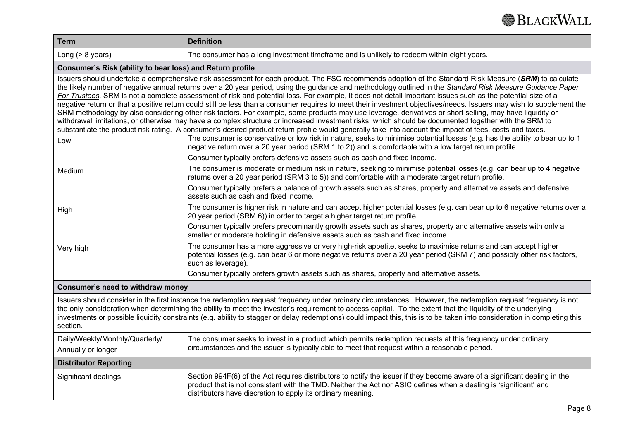| <b>Term</b>                                                                                                                                                                                                                                                                                                                                                                                                                                                                                                                                                                                                                                                                                                                                                                                                                                                                                                                                                                                                                                                                                                                                  | <b>Definition</b>                                                                                                                                                                                                                                                                                              |  |
|----------------------------------------------------------------------------------------------------------------------------------------------------------------------------------------------------------------------------------------------------------------------------------------------------------------------------------------------------------------------------------------------------------------------------------------------------------------------------------------------------------------------------------------------------------------------------------------------------------------------------------------------------------------------------------------------------------------------------------------------------------------------------------------------------------------------------------------------------------------------------------------------------------------------------------------------------------------------------------------------------------------------------------------------------------------------------------------------------------------------------------------------|----------------------------------------------------------------------------------------------------------------------------------------------------------------------------------------------------------------------------------------------------------------------------------------------------------------|--|
| Long $(> 8$ years)                                                                                                                                                                                                                                                                                                                                                                                                                                                                                                                                                                                                                                                                                                                                                                                                                                                                                                                                                                                                                                                                                                                           | The consumer has a long investment timeframe and is unlikely to redeem within eight years.                                                                                                                                                                                                                     |  |
| Consumer's Risk (ability to bear loss) and Return profile                                                                                                                                                                                                                                                                                                                                                                                                                                                                                                                                                                                                                                                                                                                                                                                                                                                                                                                                                                                                                                                                                    |                                                                                                                                                                                                                                                                                                                |  |
| Issuers should undertake a comprehensive risk assessment for each product. The FSC recommends adoption of the Standard Risk Measure (SRM) to calculate<br>the likely number of negative annual returns over a 20 year period, using the guidance and methodology outlined in the Standard Risk Measure Guidance Paper<br>For Trustees. SRM is not a complete assessment of risk and potential loss. For example, it does not detail important issues such as the potential size of a<br>negative return or that a positive return could still be less than a consumer requires to meet their investment objectives/needs. Issuers may wish to supplement the<br>SRM methodology by also considering other risk factors. For example, some products may use leverage, derivatives or short selling, may have liquidity or<br>withdrawal limitations, or otherwise may have a complex structure or increased investment risks, which should be documented together with the SRM to<br>substantiate the product risk rating. A consumer's desired product return profile would generally take into account the impact of fees, costs and taxes. |                                                                                                                                                                                                                                                                                                                |  |
| Low                                                                                                                                                                                                                                                                                                                                                                                                                                                                                                                                                                                                                                                                                                                                                                                                                                                                                                                                                                                                                                                                                                                                          | The consumer is conservative or low risk in nature, seeks to minimise potential losses (e.g. has the ability to bear up to 1<br>negative return over a 20 year period (SRM 1 to 2)) and is comfortable with a low target return profile.                                                                       |  |
|                                                                                                                                                                                                                                                                                                                                                                                                                                                                                                                                                                                                                                                                                                                                                                                                                                                                                                                                                                                                                                                                                                                                              | Consumer typically prefers defensive assets such as cash and fixed income.                                                                                                                                                                                                                                     |  |
| Medium                                                                                                                                                                                                                                                                                                                                                                                                                                                                                                                                                                                                                                                                                                                                                                                                                                                                                                                                                                                                                                                                                                                                       | The consumer is moderate or medium risk in nature, seeking to minimise potential losses (e.g. can bear up to 4 negative<br>returns over a 20 year period (SRM 3 to 5)) and comfortable with a moderate target return profile.                                                                                  |  |
|                                                                                                                                                                                                                                                                                                                                                                                                                                                                                                                                                                                                                                                                                                                                                                                                                                                                                                                                                                                                                                                                                                                                              | Consumer typically prefers a balance of growth assets such as shares, property and alternative assets and defensive<br>assets such as cash and fixed income.                                                                                                                                                   |  |
| High                                                                                                                                                                                                                                                                                                                                                                                                                                                                                                                                                                                                                                                                                                                                                                                                                                                                                                                                                                                                                                                                                                                                         | The consumer is higher risk in nature and can accept higher potential losses (e.g. can bear up to 6 negative returns over a<br>20 year period (SRM 6)) in order to target a higher target return profile.                                                                                                      |  |
|                                                                                                                                                                                                                                                                                                                                                                                                                                                                                                                                                                                                                                                                                                                                                                                                                                                                                                                                                                                                                                                                                                                                              | Consumer typically prefers predominantly growth assets such as shares, property and alternative assets with only a<br>smaller or moderate holding in defensive assets such as cash and fixed income.                                                                                                           |  |
| Very high                                                                                                                                                                                                                                                                                                                                                                                                                                                                                                                                                                                                                                                                                                                                                                                                                                                                                                                                                                                                                                                                                                                                    | The consumer has a more aggressive or very high-risk appetite, seeks to maximise returns and can accept higher<br>potential losses (e.g. can bear 6 or more negative returns over a 20 year period (SRM 7) and possibly other risk factors,<br>such as leverage).                                              |  |
|                                                                                                                                                                                                                                                                                                                                                                                                                                                                                                                                                                                                                                                                                                                                                                                                                                                                                                                                                                                                                                                                                                                                              | Consumer typically prefers growth assets such as shares, property and alternative assets.                                                                                                                                                                                                                      |  |
| Consumer's need to withdraw money                                                                                                                                                                                                                                                                                                                                                                                                                                                                                                                                                                                                                                                                                                                                                                                                                                                                                                                                                                                                                                                                                                            |                                                                                                                                                                                                                                                                                                                |  |
| Issuers should consider in the first instance the redemption request frequency under ordinary circumstances. However, the redemption request frequency is not<br>the only consideration when determining the ability to meet the investor's requirement to access capital. To the extent that the liquidity of the underlying<br>investments or possible liquidity constraints (e.g. ability to stagger or delay redemptions) could impact this, this is to be taken into consideration in completing this<br>section.                                                                                                                                                                                                                                                                                                                                                                                                                                                                                                                                                                                                                       |                                                                                                                                                                                                                                                                                                                |  |
| Daily/Weekly/Monthly/Quarterly/<br>Annually or longer                                                                                                                                                                                                                                                                                                                                                                                                                                                                                                                                                                                                                                                                                                                                                                                                                                                                                                                                                                                                                                                                                        | The consumer seeks to invest in a product which permits redemption requests at this frequency under ordinary<br>circumstances and the issuer is typically able to meet that request within a reasonable period.                                                                                                |  |
| <b>Distributor Reporting</b>                                                                                                                                                                                                                                                                                                                                                                                                                                                                                                                                                                                                                                                                                                                                                                                                                                                                                                                                                                                                                                                                                                                 |                                                                                                                                                                                                                                                                                                                |  |
| Significant dealings                                                                                                                                                                                                                                                                                                                                                                                                                                                                                                                                                                                                                                                                                                                                                                                                                                                                                                                                                                                                                                                                                                                         | Section 994F(6) of the Act requires distributors to notify the issuer if they become aware of a significant dealing in the<br>product that is not consistent with the TMD. Neither the Act nor ASIC defines when a dealing is 'significant' and<br>distributors have discretion to apply its ordinary meaning. |  |